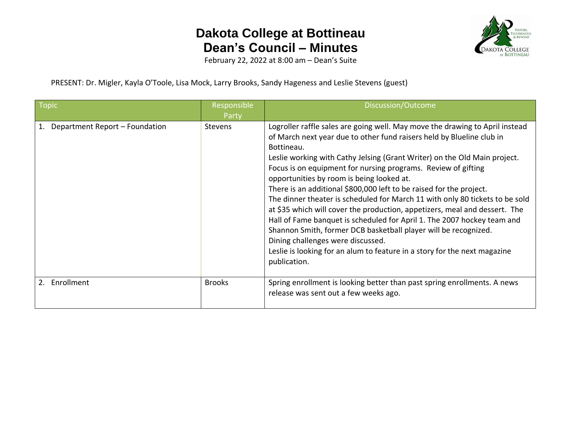

February 22, 2022 at 8:00 am – Dean's Suite

PRESENT: Dr. Migler, Kayla O'Toole, Lisa Mock, Larry Brooks, Sandy Hageness and Leslie Stevens (guest)

| <b>Topic</b>                   | Responsible<br>Party | Discussion/Outcome                                                                                                                                                                                                                                                                                                                                                                                                                                                                                                                                                                                                                                                                                                                                                                                                                                                                  |
|--------------------------------|----------------------|-------------------------------------------------------------------------------------------------------------------------------------------------------------------------------------------------------------------------------------------------------------------------------------------------------------------------------------------------------------------------------------------------------------------------------------------------------------------------------------------------------------------------------------------------------------------------------------------------------------------------------------------------------------------------------------------------------------------------------------------------------------------------------------------------------------------------------------------------------------------------------------|
| Department Report - Foundation | <b>Stevens</b>       | Logroller raffle sales are going well. May move the drawing to April instead<br>of March next year due to other fund raisers held by Blueline club in<br>Bottineau.<br>Leslie working with Cathy Jelsing (Grant Writer) on the Old Main project.<br>Focus is on equipment for nursing programs. Review of gifting<br>opportunities by room is being looked at.<br>There is an additional \$800,000 left to be raised for the project.<br>The dinner theater is scheduled for March 11 with only 80 tickets to be sold<br>at \$35 which will cover the production, appetizers, meal and dessert. The<br>Hall of Fame banquet is scheduled for April 1. The 2007 hockey team and<br>Shannon Smith, former DCB basketball player will be recognized.<br>Dining challenges were discussed.<br>Leslie is looking for an alum to feature in a story for the next magazine<br>publication. |
| Enrollment<br>2.               | <b>Brooks</b>        | Spring enrollment is looking better than past spring enrollments. A news<br>release was sent out a few weeks ago.                                                                                                                                                                                                                                                                                                                                                                                                                                                                                                                                                                                                                                                                                                                                                                   |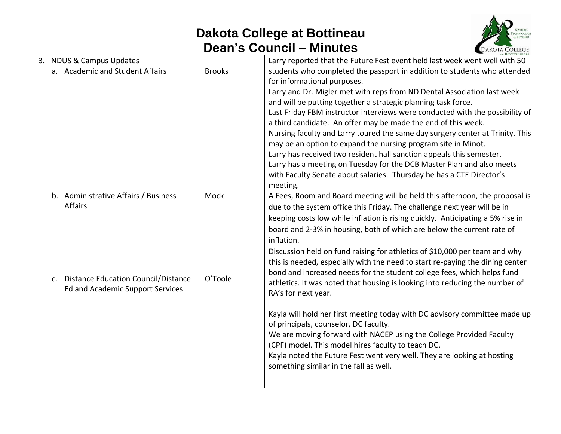

| 3. NDUS & Campus Updates<br>a. Academic and Student Affairs                                      | <b>Brooks</b> | Larry reported that the Future Fest event held last week went well with 50<br>students who completed the passport in addition to students who attended<br>for informational purposes.<br>Larry and Dr. Migler met with reps from ND Dental Association last week<br>and will be putting together a strategic planning task force.<br>Last Friday FBM instructor interviews were conducted with the possibility of<br>a third candidate. An offer may be made the end of this week.<br>Nursing faculty and Larry toured the same day surgery center at Trinity. This<br>may be an option to expand the nursing program site in Minot.<br>Larry has received two resident hall sanction appeals this semester.<br>Larry has a meeting on Tuesday for the DCB Master Plan and also meets<br>with Faculty Senate about salaries. Thursday he has a CTE Director's<br>meeting. |
|--------------------------------------------------------------------------------------------------|---------------|---------------------------------------------------------------------------------------------------------------------------------------------------------------------------------------------------------------------------------------------------------------------------------------------------------------------------------------------------------------------------------------------------------------------------------------------------------------------------------------------------------------------------------------------------------------------------------------------------------------------------------------------------------------------------------------------------------------------------------------------------------------------------------------------------------------------------------------------------------------------------|
| b. Administrative Affairs / Business<br>Affairs                                                  | Mock          | A Fees, Room and Board meeting will be held this afternoon, the proposal is<br>due to the system office this Friday. The challenge next year will be in<br>keeping costs low while inflation is rising quickly. Anticipating a 5% rise in<br>board and 2-3% in housing, both of which are below the current rate of<br>inflation.                                                                                                                                                                                                                                                                                                                                                                                                                                                                                                                                         |
| <b>Distance Education Council/Distance</b><br>$\mathsf{C}$ .<br>Ed and Academic Support Services | O'Toole       | Discussion held on fund raising for athletics of \$10,000 per team and why<br>this is needed, especially with the need to start re-paying the dining center<br>bond and increased needs for the student college fees, which helps fund<br>athletics. It was noted that housing is looking into reducing the number of<br>RA's for next year.                                                                                                                                                                                                                                                                                                                                                                                                                                                                                                                              |
|                                                                                                  |               | Kayla will hold her first meeting today with DC advisory committee made up<br>of principals, counselor, DC faculty.<br>We are moving forward with NACEP using the College Provided Faculty<br>(CPF) model. This model hires faculty to teach DC.<br>Kayla noted the Future Fest went very well. They are looking at hosting<br>something similar in the fall as well.                                                                                                                                                                                                                                                                                                                                                                                                                                                                                                     |
|                                                                                                  |               |                                                                                                                                                                                                                                                                                                                                                                                                                                                                                                                                                                                                                                                                                                                                                                                                                                                                           |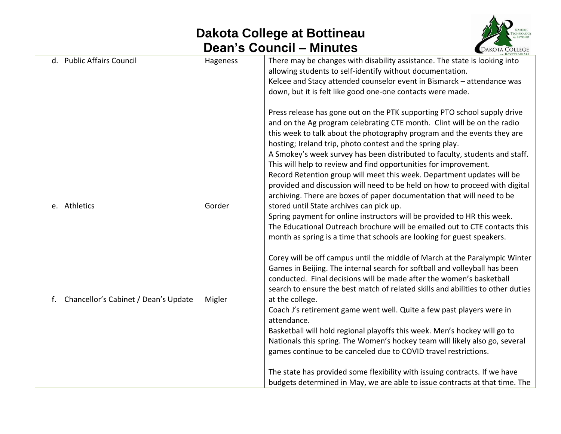

|              | d. Public Affairs Council            | Hageness | There may be changes with disability assistance. The state is looking into<br>allowing students to self-identify without documentation.<br>Kelcee and Stacy attended counselor event in Bismarck - attendance was<br>down, but it is felt like good one-one contacts were made.                                                                                                                                                                                                                                                                                                                                                                                                   |
|--------------|--------------------------------------|----------|-----------------------------------------------------------------------------------------------------------------------------------------------------------------------------------------------------------------------------------------------------------------------------------------------------------------------------------------------------------------------------------------------------------------------------------------------------------------------------------------------------------------------------------------------------------------------------------------------------------------------------------------------------------------------------------|
|              |                                      |          | Press release has gone out on the PTK supporting PTO school supply drive<br>and on the Ag program celebrating CTE month. Clint will be on the radio<br>this week to talk about the photography program and the events they are<br>hosting; Ireland trip, photo contest and the spring play.<br>A Smokey's week survey has been distributed to faculty, students and staff.<br>This will help to review and find opportunities for improvement.<br>Record Retention group will meet this week. Department updates will be<br>provided and discussion will need to be held on how to proceed with digital<br>archiving. There are boxes of paper documentation that will need to be |
| e. Athletics |                                      | Gorder   | stored until State archives can pick up.<br>Spring payment for online instructors will be provided to HR this week.<br>The Educational Outreach brochure will be emailed out to CTE contacts this<br>month as spring is a time that schools are looking for guest speakers.                                                                                                                                                                                                                                                                                                                                                                                                       |
|              |                                      |          | Corey will be off campus until the middle of March at the Paralympic Winter<br>Games in Beijing. The internal search for softball and volleyball has been<br>conducted. Final decisions will be made after the women's basketball<br>search to ensure the best match of related skills and abilities to other duties                                                                                                                                                                                                                                                                                                                                                              |
| f.           | Chancellor's Cabinet / Dean's Update | Migler   | at the college.<br>Coach J's retirement game went well. Quite a few past players were in<br>attendance.<br>Basketball will hold regional playoffs this week. Men's hockey will go to<br>Nationals this spring. The Women's hockey team will likely also go, several<br>games continue to be canceled due to COVID travel restrictions.                                                                                                                                                                                                                                                                                                                                            |
|              |                                      |          | The state has provided some flexibility with issuing contracts. If we have<br>budgets determined in May, we are able to issue contracts at that time. The                                                                                                                                                                                                                                                                                                                                                                                                                                                                                                                         |